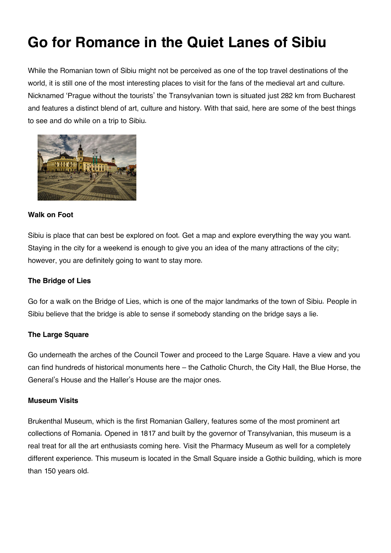# **Go for Romance in the Quiet Lanes of Sibiu**

While the Romanian town of Sibiu might not be perceived as one of the top travel destinations of the world, it is still one of the most interesting places to visit for the fans of the medieval art and culture. Nicknamed 'Prague without the tourists' the Transylvanian town is situated just 282 km from Bucharest and features a distinct blend of art, culture and history. With that said, here are some of the best things to see and do while on a trip to Sibiu.



## **Walk on Foot**

Sibiu is place that can best be explored on foot. Get a map and explore everything the way you want. Staying in the city for a weekend is enough to give you an idea of the many attractions of the city; however, you are definitely going to want to stay more.

# **The Bridge of Lies**

Go for a walk on the Bridge of Lies, which is one of the major landmarks of the town of Sibiu. People in Sibiu believe that the bridge is able to sense if somebody standing on the bridge says a lie.

# **The Large Square**

Go underneath the arches of the Council Tower and proceed to the Large Square. Have a view and you can find hundreds of historical monuments here – the Catholic Church, the City Hall, the Blue Horse, the General's House and the Haller's House are the major ones.

#### **Museum Visits**

Brukenthal Museum, which is the first Romanian Gallery, features some of the most prominent art collections of Romania. Opened in 1817 and built by the governor of Transylvanian, this museum is a real treat for all the art enthusiasts coming here. Visit the Pharmacy Museum as well for a completely different experience. This museum is located in the Small Square inside a Gothic building, which is more than 150 years old.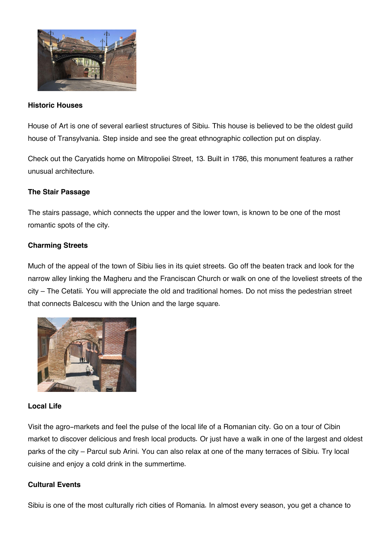

#### **Historic Houses**

House of Art is one of several earliest structures of Sibiu. This house is believed to be the oldest guild house of Transylvania. Step inside and see the great ethnographic collection put on display.

Check out the Caryatids home on Mitropoliei Street, 13. Built in 1786, this monument features a rather unusual architecture.

#### **The Stair Passage**

The stairs passage, which connects the upper and the lower town, is known to be one of the most romantic spots of the city.

## **Charming Streets**

Much of the appeal of the town of Sibiu lies in its quiet streets. Go off the beaten track and look for the narrow alley linking the Magheru and the Franciscan Church or walk on one of the loveliest streets of the city – The Cetatii. You will appreciate the old and traditional homes. Do not miss the pedestrian street that connects Balcescu with the Union and the large square.



#### **Local Life**

Visit the agro-markets and feel the pulse of the local life of a Romanian city. Go on a tour of Cibin market to discover delicious and fresh local products. Or just have a walk in one of the largest and oldest parks of the city – Parcul sub Arini. You can also relax at one of the many terraces of Sibiu. Try local cuisine and enjoy a cold drink in the summertime.

#### **Cultural Events**

Sibiu is one of the most culturally rich cities of Romania. In almost every season, you get a chance to